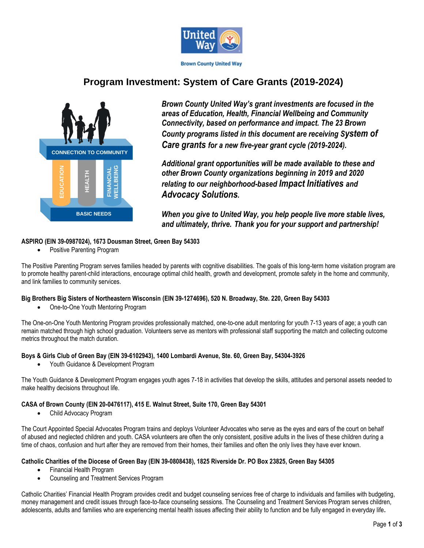

# **Program Investment: System of Care Grants (2019-2024)**



*Brown County United Way's grant investments are focused in the areas of Education, Health, Financial Wellbeing and Community Connectivity, based on performance and impact. The 23 Brown County programs listed in this document are receiving System of Care grants for a new five-year grant cycle (2019-2024).*

*Additional grant opportunities will be made available to these and other Brown County organizations beginning in 2019 and 2020 relating to our neighborhood-based Impact Initiatives and Advocacy Solutions.*

*When you give to United Way, you help people live more stable lives, and ultimately, thrive. Thank you for your support and partnership!*

# **ASPIRO (EIN 39-0987024), 1673 Dousman Street, Green Bay 54303**

Positive Parenting Program

The Positive Parenting Program serves families headed by parents with cognitive disabilities. The goals of this long-term home visitation program are to promote healthy parent-child interactions, encourage optimal child health, growth and development, promote safety in the home and community, and link families to community services.

# **Big Brothers Big Sisters of Northeastern Wisconsin (EIN 39-1274696), 520 N. Broadway, Ste. 220, Green Bay 54303**

One-to-One Youth Mentoring Program

The One-on-One Youth Mentoring Program provides professionally matched, one-to-one adult mentoring for youth 7-13 years of age; a youth can remain matched through high school graduation. Volunteers serve as mentors with professional staff supporting the match and collecting outcome metrics throughout the match duration.

# **Boys & Girls Club of Green Bay (EIN 39-6102943), 1400 Lombardi Avenue, Ste. 60, Green Bay, 54304-3926**

Youth Guidance & Development Program

The Youth Guidance & Development Program engages youth ages 7-18 in activities that develop the skills, attitudes and personal assets needed to make healthy decisions throughout life.

# **CASA of Brown County (EIN 20-0476117), 415 E. Walnut Street, Suite 170, Green Bay 54301**

Child Advocacy Program

The Court Appointed Special Advocates Program trains and deploys Volunteer Advocates who serve as the eyes and ears of the court on behalf of abused and neglected children and youth. CASA volunteers are often the only consistent, positive adults in the lives of these children during a time of chaos, confusion and hurt after they are removed from their homes, their families and often the only lives they have ever known.

# **Catholic Charities of the Diocese of Green Bay (EIN 39-0808438), 1825 Riverside Dr. PO Box 23825, Green Bay 54305**

- Financial Health Program
- Counseling and Treatment Services Program

Catholic Charities' Financial Health Program provides credit and budget counseling services free of charge to individuals and families with budgeting, money management and credit issues through face-to-face counseling sessions. The Counseling and Treatment Services Program serves children, adolescents, adults and families who are experiencing mental health issues affecting their ability to function and be fully engaged in everyday life**.**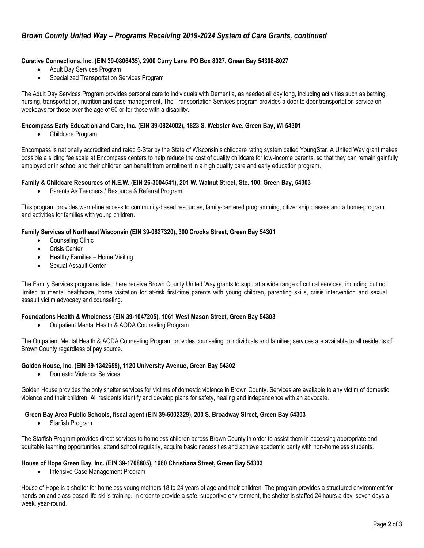# *Brown County United Way – Programs Receiving 2019-2024 System of Care Grants, continued*

#### **Curative Connections, Inc. (EIN 39-0806435), 2900 Curry Lane, PO Box 8027, Green Bay 54308-8027**

- Adult Day Services Program
- Specialized Transportation Services Program

The Adult Day Services Program provides personal care to individuals with Dementia, as needed all day long, including activities such as bathing, nursing, transportation, nutrition and case management. The Transportation Services program provides a door to door transportation service on weekdays for those over the age of 60 or for those with a disability.

#### **Encompass Early Education and Care, Inc. (EIN 39-0824002), 1823 S. Webster Ave. Green Bay, WI 54301**

Childcare Program

Encompass is nationally accredited and rated 5-Star by the State of Wisconsin's childcare rating system called YoungStar. A United Way grant makes possible a sliding fee scale at Encompass centers to help reduce the cost of quality childcare for low-income parents, so that they can remain gainfully employed or in school and their children can benefit from enrollment in a high quality care and early education program.

#### **Family & Childcare Resources of N.E.W. (EIN 26-3004541), 201 W. Walnut Street, Ste. 100, Green Bay, 54303**

• Parents As Teachers / Resource & Referral Program

This program provides warm-line access to community-based resources, family-centered programming, citizenship classes and a home-program and activities for families with young children.

#### **Family Services of NortheastWisconsin (EIN 39-0827320), 300 Crooks Street, Green Bay 54301**

- Counseling Clinic
- Crisis Center
- Healthy Families Home Visiting
- Sexual Assault Center

The Family Services programs listed here receive Brown County United Way grants to support a wide range of critical services, including but not limited to mental healthcare, home visitation for at-risk first-time parents with young children, parenting skills, crisis intervention and sexual assault victim advocacy and counseling.

#### **Foundations Health & Wholeness (EIN 39-1047205), 1061 West Mason Street, Green Bay 54303**

Outpatient Mental Health & AODA Counseling Program

The Outpatient Mental Health & AODA Counseling Program provides counseling to individuals and families; services are available to all residents of Brown County regardless of pay source.

#### **Golden House, Inc. (EIN 39-1342659), 1120 University Avenue, Green Bay 54302**

Domestic Violence Services

Golden House provides the only shelter services for victims of domestic violence in Brown County. Services are available to any victim of domestic violence and their children. All residents identify and develop plans for safety, healing and independence with an advocate.

#### **Green Bay Area Public Schools, fiscal agent (EIN 39-6002329), 200 S. Broadway Street, Green Bay 54303**

Starfish Program

The Starfish Program provides direct services to homeless children across Brown County in order to assist them in accessing appropriate and equitable learning opportunities, attend school regularly, acquire basic necessities and achieve academic parity with non-homeless students.

#### **House of Hope Green Bay, Inc. (EIN 39-1708805), 1660 Christiana Street, Green Bay 54303**

Intensive Case Management Program

House of Hope is a shelter for homeless young mothers 18 to 24 years of age and their children. The program provides a structured environment for hands-on and class-based life skills training. In order to provide a safe, supportive environment, the shelter is staffed 24 hours a day, seven days a week, year-round.